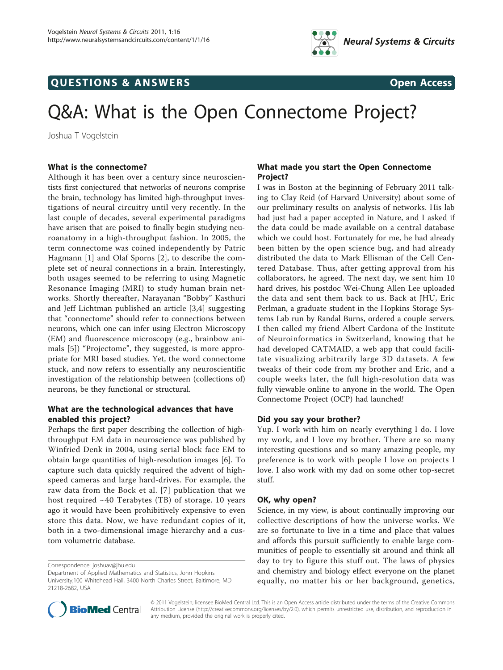

# **QUESTIONS & ANSWERS** Open Access

# Q&A: What is the Open Connectome Project?

Joshua T Vogelstein

# What is the connectome?

Although it has been over a century since neuroscientists first conjectured that networks of neurons comprise the brain, technology has limited high-throughput investigations of neural circuitry until very recently. In the last couple of decades, several experimental paradigms have arisen that are poised to finally begin studying neuroanatomy in a high-throughput fashion. In 2005, the term connectome was coined independently by Patric Hagmann [[1\]](#page-2-0) and Olaf Sporns [[2\]](#page-2-0), to describe the complete set of neural connections in a brain. Interestingly, both usages seemed to be referring to using Magnetic Resonance Imaging (MRI) to study human brain networks. Shortly thereafter, Narayanan "Bobby" Kasthuri and Jeff Lichtman published an article [\[3](#page-2-0),[4\]](#page-2-0) suggesting that "connectome" should refer to connections between neurons, which one can infer using Electron Microscopy (EM) and fluorescence microscopy (e.g., brainbow animals [[5](#page-2-0)]) "Projectome", they suggested, is more appropriate for MRI based studies. Yet, the word connectome stuck, and now refers to essentially any neuroscientific investigation of the relationship between (collections of) neurons, be they functional or structural.

# What are the technological advances that have enabled this project?

Perhaps the first paper describing the collection of highthroughput EM data in neuroscience was published by Winfried Denk in 2004, using serial block face EM to obtain large quantities of high-resolution images [\[6](#page-3-0)]. To capture such data quickly required the advent of highspeed cameras and large hard-drives. For example, the raw data from the Bock et al. [\[7\]](#page-3-0) publication that we host required  $~40$  Terabytes (TB) of storage. 10 years ago it would have been prohibitively expensive to even store this data. Now, we have redundant copies of it, both in a two-dimensional image hierarchy and a custom volumetric database.



I was in Boston at the beginning of February 2011 talking to Clay Reid (of Harvard University) about some of our preliminary results on analysis of networks. His lab had just had a paper accepted in Nature, and I asked if the data could be made available on a central database which we could host. Fortunately for me, he had already been bitten by the open science bug, and had already distributed the data to Mark Ellisman of the Cell Centered Database. Thus, after getting approval from his collaborators, he agreed. The next day, we sent him 10 hard drives, his postdoc Wei-Chung Allen Lee uploaded the data and sent them back to us. Back at JHU, Eric Perlman, a graduate student in the Hopkins Storage Systems Lab run by Randal Burns, ordered a couple servers. I then called my friend Albert Cardona of the Institute of Neuroinformatics in Switzerland, knowing that he had developed CATMAID, a web app that could facilitate visualizing arbitrarily large 3D datasets. A few tweaks of their code from my brother and Eric, and a couple weeks later, the full high-resolution data was fully viewable online to anyone in the world. The Open Connectome Project (OCP) had launched!

# Did you say your brother?

Yup. I work with him on nearly everything I do. I love my work, and I love my brother. There are so many interesting questions and so many amazing people, my preference is to work with people I love on projects I love. I also work with my dad on some other top-secret stuff.

#### OK, why open?

Science, in my view, is about continually improving our collective descriptions of how the universe works. We are so fortunate to live in a time and place that values and affords this pursuit sufficiently to enable large communities of people to essentially sit around and think all day to try to figure this stuff out. The laws of physics and chemistry and biology effect everyone on the planet equally, no matter his or her background, genetics,



© 2011 Vogelstein; licensee BioMed Central Ltd. This is an Open Access article distributed under the terms of the Creative Commons Attribution License [\(http://creativecommons.org/licenses/by/2.0](http://creativecommons.org/licenses/by/2.0)), which permits unrestricted use, distribution, and reproduction in any medium, provided the original work is properly cited.

Correspondence: [joshuav@jhu.edu](mailto:joshuav@jhu.edu)

Department of Applied Mathematics and Statistics, John Hopkins University,100 Whitehead Hall, 3400 North Charles Street, Baltimore, MD 21218-2682, USA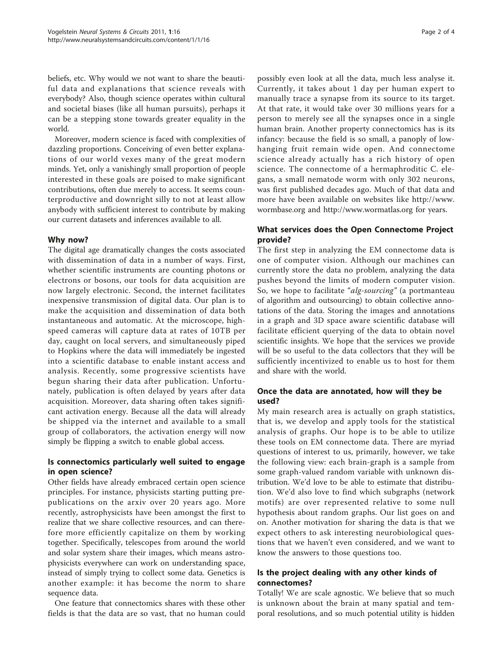beliefs, etc. Why would we not want to share the beautiful data and explanations that science reveals with everybody? Also, though science operates within cultural and societal biases (like all human pursuits), perhaps it can be a stepping stone towards greater equality in the world.

Moreover, modern science is faced with complexities of dazzling proportions. Conceiving of even better explanations of our world vexes many of the great modern minds. Yet, only a vanishingly small proportion of people interested in these goals are poised to make significant contributions, often due merely to access. It seems counterproductive and downright silly to not at least allow anybody with sufficient interest to contribute by making our current datasets and inferences available to all.

# Why now?

The digital age dramatically changes the costs associated with dissemination of data in a number of ways. First, whether scientific instruments are counting photons or electrons or bosons, our tools for data acquisition are now largely electronic. Second, the internet facilitates inexpensive transmission of digital data. Our plan is to make the acquisition and dissemination of data both instantaneous and automatic. At the microscope, highspeed cameras will capture data at rates of 10TB per day, caught on local servers, and simultaneously piped to Hopkins where the data will immediately be ingested into a scientific database to enable instant access and analysis. Recently, some progressive scientists have begun sharing their data after publication. Unfortunately, publication is often delayed by years after data acquisition. Moreover, data sharing often takes significant activation energy. Because all the data will already be shipped via the internet and available to a small group of collaborators, the activation energy will now simply be flipping a switch to enable global access.

# Is connectomics particularly well suited to engage in open science?

Other fields have already embraced certain open science principles. For instance, physicists starting putting prepublications on the arxiv over 20 years ago. More recently, astrophysicists have been amongst the first to realize that we share collective resources, and can therefore more efficiently capitalize on them by working together. Specifically, telescopes from around the world and solar system share their images, which means astrophysicists everywhere can work on understanding space, instead of simply trying to collect some data. Genetics is another example: it has become the norm to share sequence data.

One feature that connectomics shares with these other fields is that the data are so vast, that no human could possibly even look at all the data, much less analyse it. Currently, it takes about 1 day per human expert to manually trace a synapse from its source to its target. At that rate, it would take over 30 millions years for a person to merely see all the synapses once in a single human brain. Another property connectomics has is its infancy: because the field is so small, a panoply of lowhanging fruit remain wide open. And connectome science already actually has a rich history of open science. The connectome of a hermaphroditic C. elegans, a small nematode worm with only 302 neurons, was first published decades ago. Much of that data and more have been available on websites like [http://www.](http://www.wormbase.org) [wormbase.org](http://www.wormbase.org) and<http://www.wormatlas.org> for years.

# What services does the Open Connectome Project provide?

The first step in analyzing the EM connectome data is one of computer vision. Although our machines can currently store the data no problem, analyzing the data pushes beyond the limits of modern computer vision. So, we hope to facilitate "alg-sourcing" (a portmanteau of algorithm and outsourcing) to obtain collective annotations of the data. Storing the images and annotations in a graph and 3D space aware scientific database will facilitate efficient querying of the data to obtain novel scientific insights. We hope that the services we provide will be so useful to the data collectors that they will be sufficiently incentivized to enable us to host for them and share with the world.

# Once the data are annotated, how will they be used?

My main research area is actually on graph statistics, that is, we develop and apply tools for the statistical analysis of graphs. Our hope is to be able to utilize these tools on EM connectome data. There are myriad questions of interest to us, primarily, however, we take the following view: each brain-graph is a sample from some graph-valued random variable with unknown distribution. We'd love to be able to estimate that distribution. We'd also love to find which subgraphs (network motifs) are over represented relative to some null hypothesis about random graphs. Our list goes on and on. Another motivation for sharing the data is that we expect others to ask interesting neurobiological questions that we haven't even considered, and we want to know the answers to those questions too.

# Is the project dealing with any other kinds of connectomes?

Totally! We are scale agnostic. We believe that so much is unknown about the brain at many spatial and temporal resolutions, and so much potential utility is hidden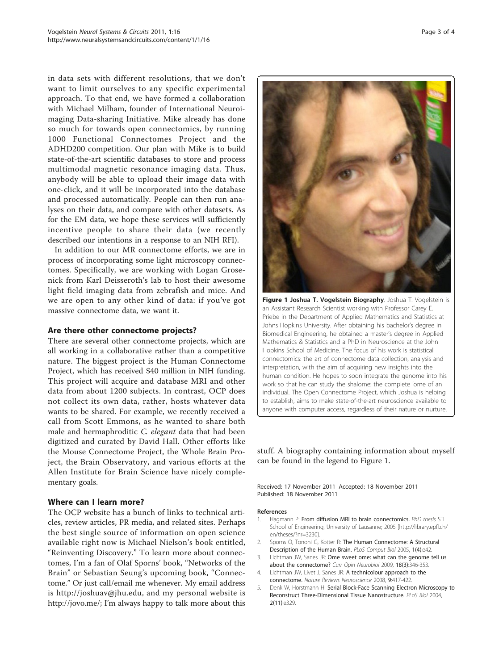<span id="page-2-0"></span>in data sets with different resolutions, that we don't want to limit ourselves to any specific experimental approach. To that end, we have formed a collaboration with Michael Milham, founder of International Neuroimaging Data-sharing Initiative. Mike already has done so much for towards open connectomics, by running 1000 Functional Connectomes Project and the ADHD200 competition. Our plan with Mike is to build state-of-the-art scientific databases to store and process multimodal magnetic resonance imaging data. Thus, anybody will be able to upload their image data with one-click, and it will be incorporated into the database and processed automatically. People can then run analyses on their data, and compare with other datasets. As for the EM data, we hope these services will sufficiently incentive people to share their data (we recently described our intentions in a response to an NIH RFI).

In addition to our MR connectome efforts, we are in process of incorporating some light microscopy connectomes. Specifically, we are working with Logan Grosenick from Karl Deisseroth's lab to host their awesome light field imaging data from zebrafish and mice. And we are open to any other kind of data: if you've got massive connectome data, we want it.

#### Are there other connectome projects?

There are several other connectome projects, which are all working in a collaborative rather than a competitive nature. The biggest project is the Human Connectome Project, which has received \$40 million in NIH funding. This project will acquire and database MRI and other data from about 1200 subjects. In contrast, OCP does not collect its own data, rather, hosts whatever data wants to be shared. For example, we recently received a call from Scott Emmons, as he wanted to share both male and hermaphroditic C. elegant data that had been digitized and curated by David Hall. Other efforts like the Mouse Connectome Project, the Whole Brain Project, the Brain Observatory, and various efforts at the Allen Institute for Brain Science have nicely complementary goals.

#### Where can I learn more?

The OCP website has a bunch of links to technical articles, review articles, PR media, and related sites. Perhaps the best single source of information on open science available right now is Michael Nielson's book entitled, "Reinventing Discovery." To learn more about connectomes, I'm a fan of Olaf Sporns' book, "Networks of the Brain" or Sebastian Seung's upcoming book, "Connectome." Or just call/email me whenever. My email address is http://joshuav@jhu.edu, and my personal website is [http://jovo.me/;](http://jovo.me/) I'm always happy to talk more about this



Figure 1 Joshua T. Vogelstein Biography. Joshua T. Vogelstein is an Assistant Research Scientist working with Professor Carey E. Priebe in the Department of Applied Mathematics and Statistics at Johns Hopkins University. After obtaining his bachelor's degree in Biomedical Engineering, he obtained a master's degree in Applied Mathematics & Statistics and a PhD in Neuroscience at the John Hopkins School of Medicine. The focus of his work is statistical connectomics: the art of connectome data collection, analysis and interpretation, with the aim of acquiring new insights into the human condition. He hopes to soon integrate the genome into his work so that he can study the shalome: the complete 'ome of an individual. The Open Connectome Project, which Joshua is helping to establish, aims to make state-of-the-art neuroscience available to anyone with computer access, regardless of their nature or nurture.

stuff. A biography containing information about myself can be found in the legend to Figure 1.

Received: 17 November 2011 Accepted: 18 November 2011 Published: 18 November 2011

- 1. Hagmann P: From diffusion MRI to brain connectomics. PhD thesis STI School of Engineering, University of Lausanne; 2005 [[http://library.epfl.ch/](http://library.epfl.ch/en/theses/?nr=3230) [en/theses/?nr=3230\]](http://library.epfl.ch/en/theses/?nr=3230).
- 2. Sporns O, Tononi G, Kotter R: The Human Connectome: A Structural Description of the Human Brain. PLoS Comput Biol 2005, 1(4):e42.
- 3. Lichtman JW, Sanes JR: Ome sweet ome: what can the genome tell us about the connectome? Curr Opin Neurobiol 2009, 18(3):346-353.
- 4. Lichtman JW, Livet J, Sanes JR: A technicolour approach to the connectome. Nature Reviews Neuroscience 2008, 9:417-422.
- 5. Denk W, Horstmann H: Serial Block-Face Scanning Electron Microscopy to Reconstruct Three-Dimensional Tissue Nanostructure. PLoS Biol 2004, 2(11):e329.